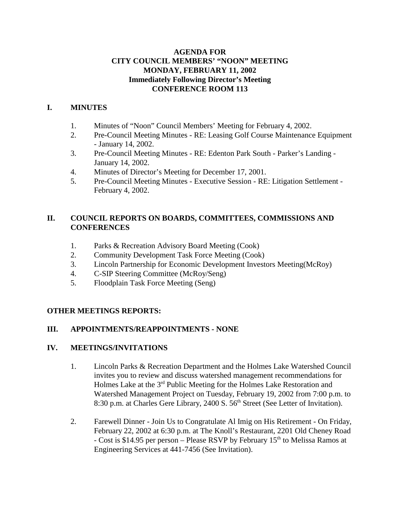### **AGENDA FOR CITY COUNCIL MEMBERS' "NOON" MEETING MONDAY, FEBRUARY 11, 2002 Immediately Following Director's Meeting CONFERENCE ROOM 113**

## **I. MINUTES**

- 1. Minutes of "Noon" Council Members' Meeting for February 4, 2002.
- 2. Pre-Council Meeting Minutes RE: Leasing Golf Course Maintenance Equipment - January 14, 2002.
- 3. Pre-Council Meeting Minutes RE: Edenton Park South Parker's Landing January 14, 2002.
- 4. Minutes of Director's Meeting for December 17, 2001.
- 5. Pre-Council Meeting Minutes Executive Session RE: Litigation Settlement February 4, 2002.

### **II. COUNCIL REPORTS ON BOARDS, COMMITTEES, COMMISSIONS AND CONFERENCES**

- 1. Parks & Recreation Advisory Board Meeting (Cook)
- 2. Community Development Task Force Meeting (Cook)
- 3. Lincoln Partnership for Economic Development Investors Meeting(McRoy)
- 4. C-SIP Steering Committee (McRoy/Seng)
- 5. Floodplain Task Force Meeting (Seng)

## **OTHER MEETINGS REPORTS:**

## **III. APPOINTMENTS/REAPPOINTMENTS - NONE**

#### **IV. MEETINGS/INVITATIONS**

- 1. Lincoln Parks & Recreation Department and the Holmes Lake Watershed Council invites you to review and discuss watershed management recommendations for Holmes Lake at the 3rd Public Meeting for the Holmes Lake Restoration and Watershed Management Project on Tuesday, February 19, 2002 from 7:00 p.m. to 8:30 p.m. at Charles Gere Library, 2400 S. 56<sup>th</sup> Street (See Letter of Invitation).
- 2. Farewell Dinner Join Us to Congratulate Al Imig on His Retirement On Friday, February 22, 2002 at 6:30 p.m. at The Knoll's Restaurant, 2201 Old Cheney Road - Cost is \$14.95 per person – Please RSVP by February  $15<sup>th</sup>$  to Melissa Ramos at Engineering Services at 441-7456 (See Invitation).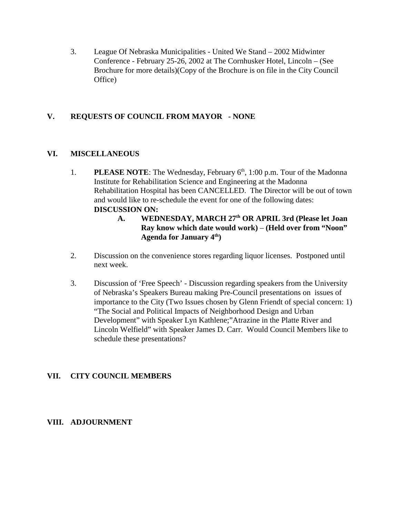3. League Of Nebraska Municipalities - United We Stand – 2002 Midwinter Conference - February 25-26, 2002 at The Cornhusker Hotel, Lincoln – (See Brochure for more details)(Copy of the Brochure is on file in the City Council Office)

### **V. REQUESTS OF COUNCIL FROM MAYOR - NONE**

#### **VI. MISCELLANEOUS**

- 1. **PLEASE NOTE:** The Wednesday, February 6<sup>th</sup>, 1:00 p.m. Tour of the Madonna Institute for Rehabilitation Science and Engineering at the Madonna Rehabilitation Hospital has been CANCELLED. The Director will be out of town and would like to re-schedule the event for one of the following dates: **DISCUSSION ON:**
	- **A. WEDNESDAY, MARCH 27th OR APRIL 3rd (Please let Joan Ray know which date would work)** – **(Held over from "Noon" Agenda for January 4th)**
- 2. Discussion on the convenience stores regarding liquor licenses. Postponed until next week.
- 3. Discussion of 'Free Speech' Discussion regarding speakers from the University of Nebraska's Speakers Bureau making Pre-Council presentations on issues of importance to the City (Two Issues chosen by Glenn Friendt of special concern: 1) "The Social and Political Impacts of Neighborhood Design and Urban Development" with Speaker Lyn Kathlene;"Atrazine in the Platte River and Lincoln Welfield" with Speaker James D. Carr. Would Council Members like to schedule these presentations?

#### **VII. CITY COUNCIL MEMBERS**

#### **VIII. ADJOURNMENT**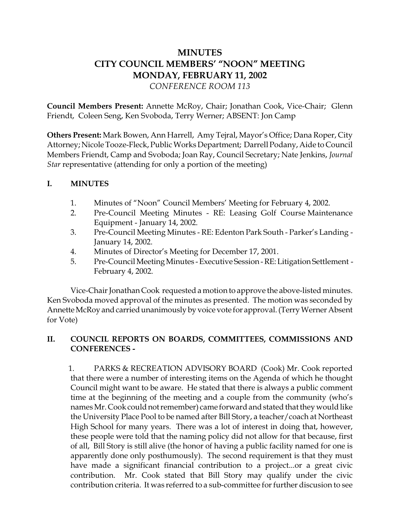# **MINUTES CITY COUNCIL MEMBERS' "NOON" MEETING MONDAY, FEBRUARY 11, 2002** *CONFERENCE ROOM 113*

**Council Members Present:** Annette McRoy, Chair; Jonathan Cook, Vice-Chair; Glenn Friendt, Coleen Seng, Ken Svoboda, Terry Werner; ABSENT: Jon Camp

**Others Present:** Mark Bowen, Ann Harrell, Amy Tejral, Mayor's Office; Dana Roper, City Attorney; Nicole Tooze-Fleck, Public Works Department; Darrell Podany, Aide to Council Members Friendt, Camp and Svoboda; Joan Ray, Council Secretary; Nate Jenkins, *Journal Star* representative (attending for only a portion of the meeting)

# **I. MINUTES**

- 1. Minutes of "Noon" Council Members' Meeting for February 4, 2002.
- 2. Pre-Council Meeting Minutes RE: Leasing Golf Course Maintenance Equipment - January 14, 2002.
- 3. Pre-Council Meeting Minutes RE: Edenton Park South Parker's Landing January 14, 2002.
- 4. Minutes of Director's Meeting for December 17, 2001.
- 5. Pre-Council Meeting Minutes Executive Session RE: Litigation Settlement February 4, 2002.

Vice-Chair Jonathan Cook requested a motion to approve the above-listed minutes. Ken Svoboda moved approval of the minutes as presented. The motion was seconded by Annette McRoy and carried unanimously by voice vote for approval. (Terry Werner Absent for Vote)

## **II. COUNCIL REPORTS ON BOARDS, COMMITTEES, COMMISSIONS AND CONFERENCES -**

 1. PARKS & RECREATION ADVISORY BOARD (Cook) Mr. Cook reported that there were a number of interesting items on the Agenda of which he thought Council might want to be aware. He stated that there is always a public comment time at the beginning of the meeting and a couple from the community (who's names Mr. Cook could not remember) came forward and stated that they would like the University Place Pool to be named after Bill Story, a teacher/coach at Northeast High School for many years. There was a lot of interest in doing that, however, these people were told that the naming policy did not allow for that because, first of all, Bill Story is still alive (the honor of having a public facility named for one is apparently done only posthumously). The second requirement is that they must have made a significant financial contribution to a project...or a great civic contribution. Mr. Cook stated that Bill Story may qualify under the civic contribution criteria. It was referred to a sub-committee for further discusion to see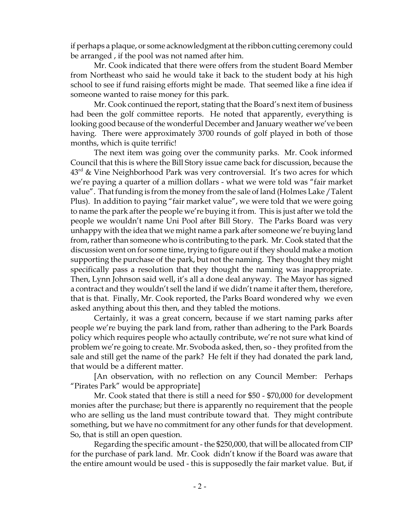if perhaps a plaque, or some acknowledgment at the ribbon cutting ceremony could be arranged , if the pool was not named after him.

Mr. Cook indicated that there were offers from the student Board Member from Northeast who said he would take it back to the student body at his high school to see if fund raising efforts might be made. That seemed like a fine idea if someone wanted to raise money for this park.

Mr. Cook continued the report, stating that the Board's next item of business had been the golf committee reports. He noted that apparently, everything is looking good because of the wonderful December and January weather we've been having. There were approximately 3700 rounds of golf played in both of those months, which is quite terrific!

The next item was going over the community parks. Mr. Cook informed Council that this is where the Bill Story issue came back for discussion, because the 43<sup>rd</sup> & Vine Neighborhood Park was very controversial. It's two acres for which we're paying a quarter of a million dollars - what we were told was "fair market value". That funding is from the money from the sale of land (Holmes Lake /Talent Plus). In addition to paying "fair market value", we were told that we were going to name the park after the people we're buying it from. This is just after we told the people we wouldn't name Uni Pool after Bill Story. The Parks Board was very unhappy with the idea that we might name a park after someone we're buying land from, rather than someone who is contributing to the park. Mr. Cook stated that the discussion went on for some time, trying to figure out if they should make a motion supporting the purchase of the park, but not the naming. They thought they might specifically pass a resolution that they thought the naming was inappropriate. Then, Lynn Johnson said well, it's all a done deal anyway. The Mayor has signed a contract and they wouldn't sell the land if we didn't name it after them, therefore, that is that. Finally, Mr. Cook reported, the Parks Board wondered why we even asked anything about this then, and they tabled the motions.

Certainly, it was a great concern, because if we start naming parks after people we're buying the park land from, rather than adhering to the Park Boards policy which requires people who actaully contribute, we're not sure what kind of problem we're going to create. Mr. Svoboda asked, then, so - they profited from the sale and still get the name of the park? He felt if they had donated the park land, that would be a different matter.

[An observation, with no reflection on any Council Member: Perhaps "Pirates Park" would be appropriate]

Mr. Cook stated that there is still a need for \$50 - \$70,000 for development monies after the purchase; but there is apparently no requirement that the people who are selling us the land must contribute toward that. They might contribute something, but we have no commitment for any other funds for that development. So, that is still an open question.

Regarding the specific amount - the \$250,000, that will be allocated from CIP for the purchase of park land. Mr. Cook didn't know if the Board was aware that the entire amount would be used - this is supposedly the fair market value. But, if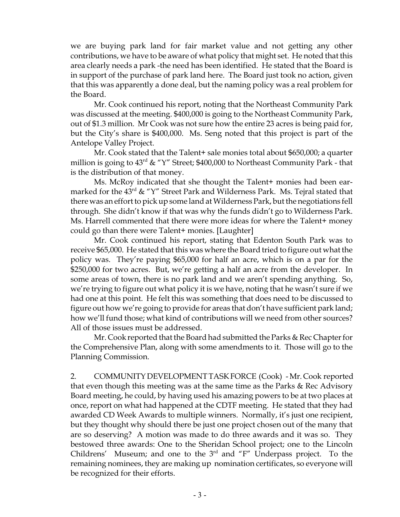we are buying park land for fair market value and not getting any other contributions, we have to be aware of what policy that might set. He noted that this area clearly needs a park -the need has been identified. He stated that the Board is in support of the purchase of park land here. The Board just took no action, given that this was apparently a done deal, but the naming policy was a real problem for the Board.

Mr. Cook continued his report, noting that the Northeast Community Park was discussed at the meeting. \$400,000 is going to the Northeast Community Park, out of \$1.3 million. Mr Cook was not sure how the entire 23 acres is being paid for, but the City's share is \$400,000. Ms. Seng noted that this project is part of the Antelope Valley Project.

Mr. Cook stated that the Talent+ sale monies total about \$650,000; a quarter million is going to  $43^{\text{rd}}$  & "Y" Street; \$400,000 to Northeast Community Park - that is the distribution of that money.

Ms. McRoy indicated that she thought the Talent+ monies had been earmarked for the  $43^{\text{rd}}$  & "Y" Street Park and Wilderness Park. Ms. Tejral stated that there was an effort to pick up some land at Wilderness Park, but the negotiations fell through. She didn't know if that was why the funds didn't go to Wilderness Park. Ms. Harrell commented that there were more ideas for where the Talent+ money could go than there were Talent+ monies. [Laughter]

Mr. Cook continued his report, stating that Edenton South Park was to receive \$65,000. He stated that this was where the Board tried to figure out what the policy was. They're paying \$65,000 for half an acre, which is on a par for the \$250,000 for two acres. But, we're getting a half an acre from the developer. In some areas of town, there is no park land and we aren't spending anything. So, we're trying to figure out what policy it is we have, noting that he wasn't sure if we had one at this point. He felt this was something that does need to be discussed to figure out how we're going to provide for areas that don't have sufficient park land; how we'll fund those; what kind of contributions will we need from other sources? All of those issues must be addressed.

Mr. Cook reported that the Board had submitted the Parks & Rec Chapter for the Comprehensive Plan, along with some amendments to it. Those will go to the Planning Commission.

2. COMMUNITY DEVELOPMENT TASK FORCE (Cook) - Mr. Cook reported that even though this meeting was at the same time as the Parks & Rec Advisory Board meeting, he could, by having used his amazing powers to be at two places at once, report on what had happened at the CDTF meeting. He stated that they had awarded CD Week Awards to multiple winners. Normally, it's just one recipient, but they thought why should there be just one project chosen out of the many that are so deserving? A motion was made to do three awards and it was so. They bestowed three awards: One to the Sheridan School project; one to the Lincoln Childrens' Museum; and one to the  $3<sup>rd</sup>$  and "F" Underpass project. To the remaining nominees, they are making up nomination certificates, so everyone will be recognized for their efforts.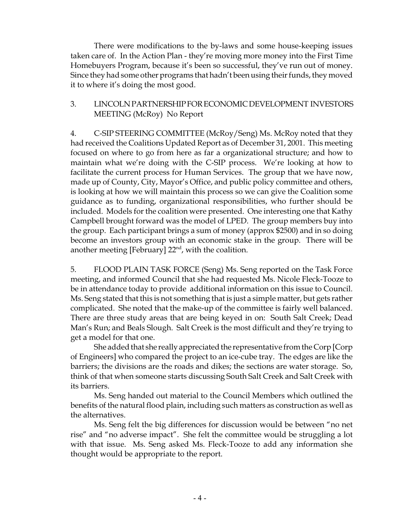There were modifications to the by-laws and some house-keeping issues taken care of. In the Action Plan - they're moving more money into the First Time Homebuyers Program, because it's been so successful, they've run out of money. Since they had some other programs that hadn't been using their funds, they moved it to where it's doing the most good.

## 3. LINCOLN PARTNERSHIP FOR ECONOMIC DEVELOPMENT INVESTORS MEETING (McRoy) No Report

4. C-SIP STEERING COMMITTEE (McRoy/Seng) Ms. McRoy noted that they had received the Coalitions Updated Report as of December 31, 2001. This meeting focused on where to go from here as far a organizational structure; and how to maintain what we're doing with the C-SIP process. We're looking at how to facilitate the current process for Human Services. The group that we have now, made up of County, City, Mayor's Office, and public policy committee and others, is looking at how we will maintain this process so we can give the Coalition some guidance as to funding, organizational responsibilities, who further should be included. Models for the coalition were presented. One interesting one that Kathy Campbell brought forward was the model of LPED. The group members buy into the group. Each participant brings a sum of money (approx \$2500) and in so doing become an investors group with an economic stake in the group. There will be another meeting [February]  $22<sup>nd</sup>$ , with the coalition.

5. FLOOD PLAIN TASK FORCE (Seng) Ms. Seng reported on the Task Force meeting, and informed Council that she had requested Ms. Nicole Fleck-Tooze to be in attendance today to provide additional information on this issue to Council. Ms. Seng stated that this is not something that is just a simple matter, but gets rather complicated. She noted that the make-up of the committee is fairly well balanced. There are three study areas that are being keyed in on: South Salt Creek; Dead Man's Run; and Beals Slough. Salt Creek is the most difficult and they're trying to get a model for that one.

She added that she really appreciated the representative from the Corp [Corp of Engineers] who compared the project to an ice-cube tray. The edges are like the barriers; the divisions are the roads and dikes; the sections are water storage. So, think of that when someone starts discussing South Salt Creek and Salt Creek with its barriers.

Ms. Seng handed out material to the Council Members which outlined the benefits of the natural flood plain, including such matters as construction as well as the alternatives.

Ms. Seng felt the big differences for discussion would be between "no net rise" and "no adverse impact". She felt the committee would be struggling a lot with that issue. Ms. Seng asked Ms. Fleck-Tooze to add any information she thought would be appropriate to the report.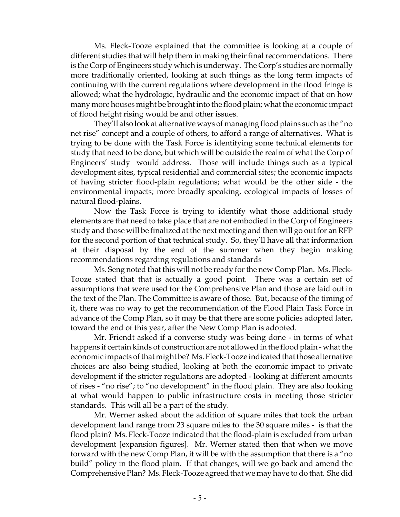Ms. Fleck-Tooze explained that the committee is looking at a couple of different studies that will help them in making their final recommendations. There is the Corp of Engineers study which is underway. The Corp's studies are normally more traditionally oriented, looking at such things as the long term impacts of continuing with the current regulations where development in the flood fringe is allowed; what the hydrologic, hydraulic and the economic impact of that on how many more houses might be brought into the flood plain; what the economic impact of flood height rising would be and other issues.

They'll also look at alternative ways of managing flood plains such as the "no net rise" concept and a couple of others, to afford a range of alternatives. What is trying to be done with the Task Force is identifying some technical elements for study that need to be done, but which will be outside the realm of what the Corp of Engineers' study would address. Those will include things such as a typical development sites, typical residential and commercial sites; the economic impacts of having stricter flood-plain regulations; what would be the other side - the environmental impacts; more broadly speaking, ecological impacts of losses of natural flood-plains.

Now the Task Force is trying to identify what those additional study elements are that need to take place that are not embodied in the Corp of Engineers study and those will be finalized at the next meeting and then will go out for an RFP for the second portion of that technical study. So, they'll have all that information at their disposal by the end of the summer when they begin making recommendations regarding regulations and standards

Ms. Seng noted that this will not be ready for the new Comp Plan. Ms. Fleck-Tooze stated that that is actually a good point. There was a certain set of assumptions that were used for the Comprehensive Plan and those are laid out in the text of the Plan. The Committee is aware of those. But, because of the timing of it, there was no way to get the recommendation of the Flood Plain Task Force in advance of the Comp Plan, so it may be that there are some policies adopted later, toward the end of this year, after the New Comp Plan is adopted.

Mr. Friendt asked if a converse study was being done - in terms of what happens if certain kinds of construction are not allowed in the flood plain - what the economic impacts of that might be? Ms. Fleck-Tooze indicated that those alternative choices are also being studied, looking at both the economic impact to private development if the stricter regulations are adopted - looking at different amounts of rises - "no rise"; to "no development" in the flood plain. They are also looking at what would happen to public infrastructure costs in meeting those stricter standards. This will all be a part of the study.

Mr. Werner asked about the addition of square miles that took the urban development land range from 23 square miles to the 30 square miles - is that the flood plain? Ms. Fleck-Tooze indicated that the flood-plain is excluded from urban development [expansion figures]. Mr. Werner stated then that when we move forward with the new Comp Plan, it will be with the assumption that there is a "no build" policy in the flood plain. If that changes, will we go back and amend the Comprehensive Plan? Ms. Fleck-Tooze agreed that we may have to do that. She did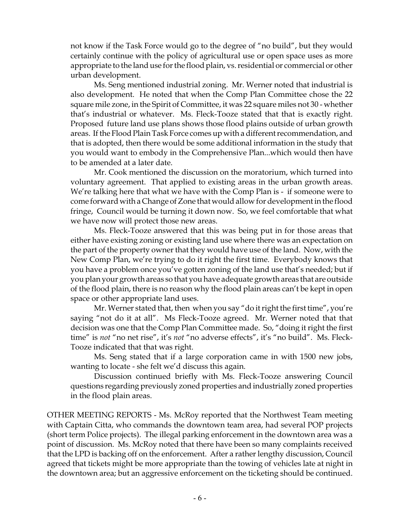not know if the Task Force would go to the degree of "no build", but they would certainly continue with the policy of agricultural use or open space uses as more appropriate to the land use for the flood plain, vs. residential or commercial or other urban development.

Ms. Seng mentioned industrial zoning. Mr. Werner noted that industrial is also development. He noted that when the Comp Plan Committee chose the 22 square mile zone, in the Spirit of Committee, it was 22 square miles not 30 - whether that's industrial or whatever. Ms. Fleck-Tooze stated that that is exactly right. Proposed future land use plans shows those flood plains outside of urban growth areas. If the Flood Plain Task Force comes up with a different recommendation, and that is adopted, then there would be some additional information in the study that you would want to embody in the Comprehensive Plan...which would then have to be amended at a later date.

Mr. Cook mentioned the discussion on the moratorium, which turned into voluntary agreement. That applied to existing areas in the urban growth areas. We're talking here that what we have with the Comp Plan is - if someone were to come forward with a Change of Zone that would allow for development in the flood fringe, Council would be turning it down now. So, we feel comfortable that what we have now will protect those new areas.

Ms. Fleck-Tooze answered that this was being put in for those areas that either have existing zoning or existing land use where there was an expectation on the part of the property owner that they would have use of the land. Now, with the New Comp Plan, we're trying to do it right the first time. Everybody knows that you have a problem once you've gotten zoning of the land use that's needed; but if you plan your growth areas so that you have adequate growth areas that are outside of the flood plain, there is no reason why the flood plain areas can't be kept in open space or other appropriate land uses.

Mr. Werner stated that, then when you say "do it right the first time", you're saying "not do it at all". Ms Fleck-Tooze agreed. Mr. Werner noted that that decision was one that the Comp Plan Committee made. So, "doing it right the first time" is *not* "no net rise", it's *not* "no adverse effects", it's "no build". Ms. Fleck-Tooze indicated that that was right.

Ms. Seng stated that if a large corporation came in with 1500 new jobs, wanting to locate - she felt we'd discuss this again.

Discussion continued briefly with Ms. Fleck-Tooze answering Council questions regarding previously zoned properties and industrially zoned properties in the flood plain areas.

OTHER MEETING REPORTS - Ms. McRoy reported that the Northwest Team meeting with Captain Citta, who commands the downtown team area, had several POP projects (short term Police projects). The illegal parking enforcement in the downtown area was a point of discussion. Ms. McRoy noted that there have been so many complaints received that the LPD is backing off on the enforcement. After a rather lengthy discussion, Council agreed that tickets might be more appropriate than the towing of vehicles late at night in the downtown area; but an aggressive enforcement on the ticketing should be continued.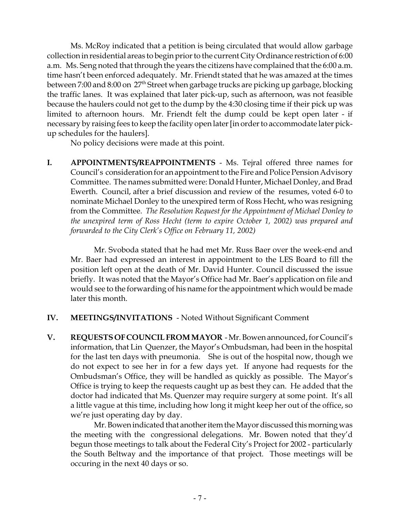Ms. McRoy indicated that a petition is being circulated that would allow garbage collection in residential areas to begin prior to the current City Ordinance restriction of 6:00 a.m. Ms. Seng noted that through the years the citizens have complained that the 6:00 a.m. time hasn't been enforced adequately. Mr. Friendt stated that he was amazed at the times between 7:00 and 8:00 on 27<sup>th</sup> Street when garbage trucks are picking up garbage, blocking the traffic lanes. It was explained that later pick-up, such as afternoon, was not feasible because the haulers could not get to the dump by the 4:30 closing time if their pick up was limited to afternoon hours. Mr. Friendt felt the dump could be kept open later - if necessary by raising fees to keep the facility open later [in order to accommodate later pickup schedules for the haulers].

No policy decisions were made at this point.

**I. APPOINTMENTS/REAPPOINTMENTS** - Ms. Tejral offered three names for Council's consideration for an appointment to the Fire and Police Pension Advisory Committee. The names submitted were: Donald Hunter, Michael Donley, and Brad Ewerth. Council, after a brief discussion and review of the resumes, voted 6-0 to nominate Michael Donley to the unexpired term of Ross Hecht, who was resigning from the Committee. *The Resolution Request for the Appointment of Michael Donley to the unexpired term of Ross Hecht (term to expire October 1, 2002) was prepared and forwarded to the City Clerk's Office on February 11, 2002)*

 Mr. Svoboda stated that he had met Mr. Russ Baer over the week-end and Mr. Baer had expressed an interest in appointment to the LES Board to fill the position left open at the death of Mr. David Hunter. Council discussed the issue briefly. It was noted that the Mayor's Office had Mr. Baer's application on file and would see to the forwarding of his name for the appointment which would be made later this month.

- **IV. MEETINGS/INVITATIONS**  Noted Without Significant Comment
- **V. REQUESTS OF COUNCIL FROM MAYOR** Mr. Bowen announced, for Council's information, that Lin Quenzer, the Mayor's Ombudsman, had been in the hospital for the last ten days with pneumonia. She is out of the hospital now, though we do not expect to see her in for a few days yet. If anyone had requests for the Ombudsman's Office, they will be handled as quickly as possible. The Mayor's Office is trying to keep the requests caught up as best they can. He added that the doctor had indicated that Ms. Quenzer may require surgery at some point. It's all a little vague at this time, including how long it might keep her out of the office, so we're just operating day by day.

Mr. Bowen indicated that another item the Mayor discussed this morning was the meeting with the congressional delegations. Mr. Bowen noted that they'd begun those meetings to talk about the Federal City's Project for 2002 - particularly the South Beltway and the importance of that project. Those meetings will be occuring in the next 40 days or so.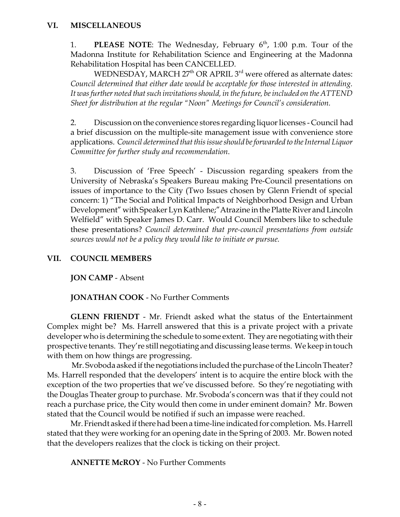1. **PLEASE NOTE:** The Wednesday, February 6<sup>th</sup>, 1:00 p.m. Tour of the Madonna Institute for Rehabilitation Science and Engineering at the Madonna Rehabilitation Hospital has been CANCELLED.

WEDNESDAY, MARCH  $27<sup>th</sup>$  OR APRIL  $3<sup>rd</sup>$  were offered as alternate dates: *Council determined that either date would be acceptable for those interested in attending. It was further noted that such invitations should, in the future, be included on the ATTEND Sheet for distribution at the regular "Noon" Meetings for Council's consideration.*

2. Discussion on the convenience stores regarding liquor licenses - Council had a brief discussion on the multiple-site management issue with convenience store applications. *Council determined that this issue should be forwarded to the Internal Liquor Committee for further study and recommendation*.

3. Discussion of 'Free Speech' - Discussion regarding speakers from the University of Nebraska's Speakers Bureau making Pre-Council presentations on issues of importance to the City (Two Issues chosen by Glenn Friendt of special concern: 1) "The Social and Political Impacts of Neighborhood Design and Urban Development" with Speaker Lyn Kathlene;"Atrazine in the Platte River and Lincoln Welfield" with Speaker James D. Carr. Would Council Members like to schedule these presentations? *Council determined that pre-council presentations from outside sources would not be a policy they would like to initiate or pursue.*

# **VII. COUNCIL MEMBERS**

**JON CAMP** - Absent

**JONATHAN COOK** - No Further Comments

**GLENN FRIENDT** - Mr. Friendt asked what the status of the Entertainment Complex might be? Ms. Harrell answered that this is a private project with a private developer who is determining the schedule to some extent. They are negotiating with their prospective tenants. They're still negotiating and discussing lease terms. We keep in touch with them on how things are progressing.

 Mr. Svoboda asked if the negotiations included the purchase of the Lincoln Theater? Ms. Harrell responded that the developers' intent is to acquire the entire block with the exception of the two properties that we've discussed before. So they're negotiating with the Douglas Theater group to purchase. Mr. Svoboda's concern was that if they could not reach a purchase price, the City would then come in under eminent domain? Mr. Bowen stated that the Council would be notified if such an impasse were reached.

Mr. Friendt asked if there had been a time-line indicated for completion. Ms. Harrell stated that they were working for an opening date in the Spring of 2003. Mr. Bowen noted that the developers realizes that the clock is ticking on their project.

**ANNETTE McROY** - No Further Comments